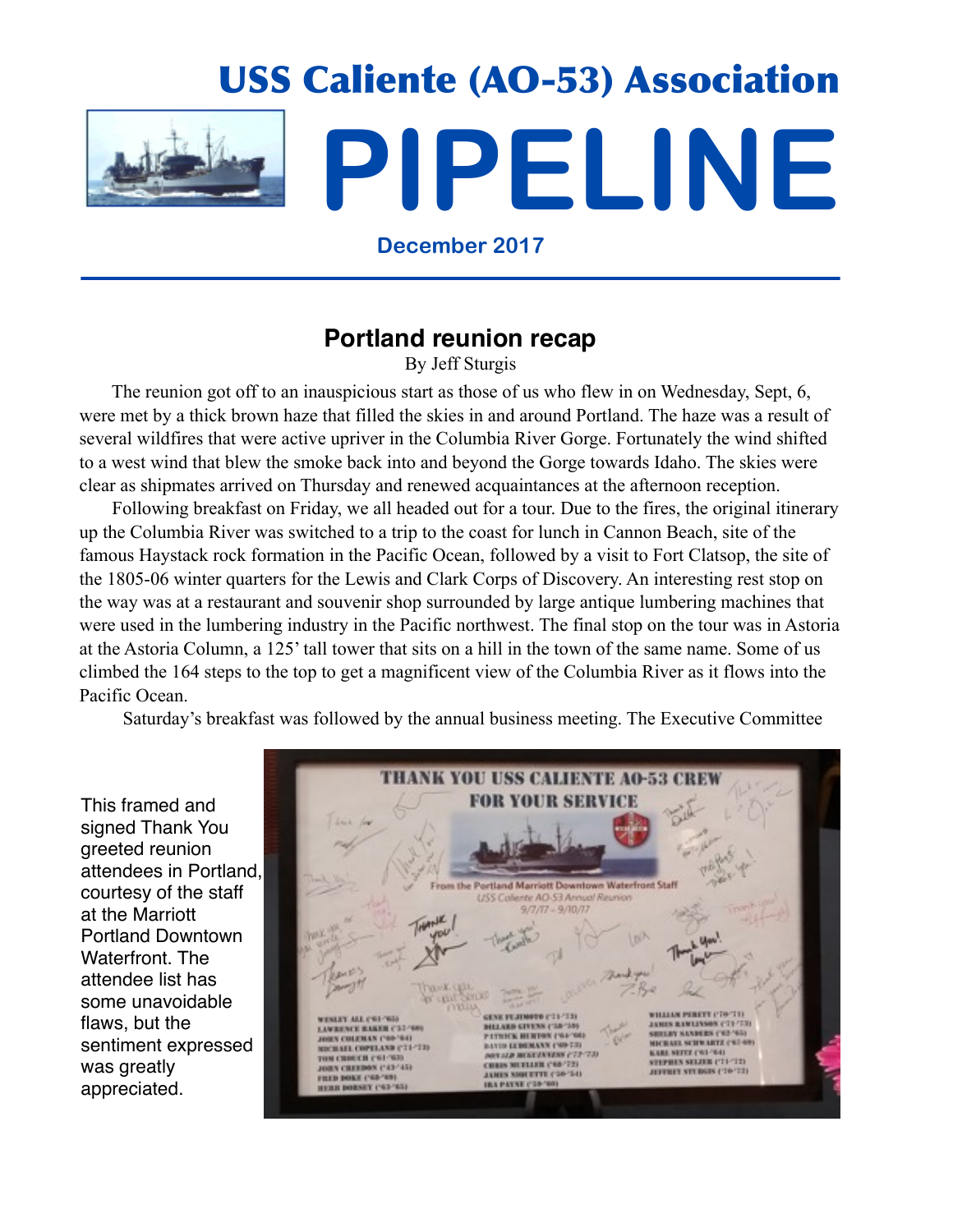

# USS Caliente (AO-53) Association **PIPELINE**

**December 2017**

### **Portland reunion recap**

By Jeff Sturgis

 The reunion got off to an inauspicious start as those of us who flew in on Wednesday, Sept, 6, were met by a thick brown haze that filled the skies in and around Portland. The haze was a result of several wildfires that were active upriver in the Columbia River Gorge. Fortunately the wind shifted to a west wind that blew the smoke back into and beyond the Gorge towards Idaho. The skies were clear as shipmates arrived on Thursday and renewed acquaintances at the afternoon reception.

 Following breakfast on Friday, we all headed out for a tour. Due to the fires, the original itinerary up the Columbia River was switched to a trip to the coast for lunch in Cannon Beach, site of the famous Haystack rock formation in the Pacific Ocean, followed by a visit to Fort Clatsop, the site of the 1805-06 winter quarters for the Lewis and Clark Corps of Discovery. An interesting rest stop on the way was at a restaurant and souvenir shop surrounded by large antique lumbering machines that were used in the lumbering industry in the Pacific northwest. The final stop on the tour was in Astoria at the Astoria Column, a 125' tall tower that sits on a hill in the town of the same name. Some of us climbed the 164 steps to the top to get a magnificent view of the Columbia River as it flows into the Pacific Ocean.

Saturday's breakfast was followed by the annual business meeting. The Executive Committee

This framed and signed Thank You greeted reunion attendees in Portland, courtesy of the staff at the Marriott Portland Downtown Waterfront. The attendee list has some unavoidable flaws, but the sentiment expressed was greatly appreciated.

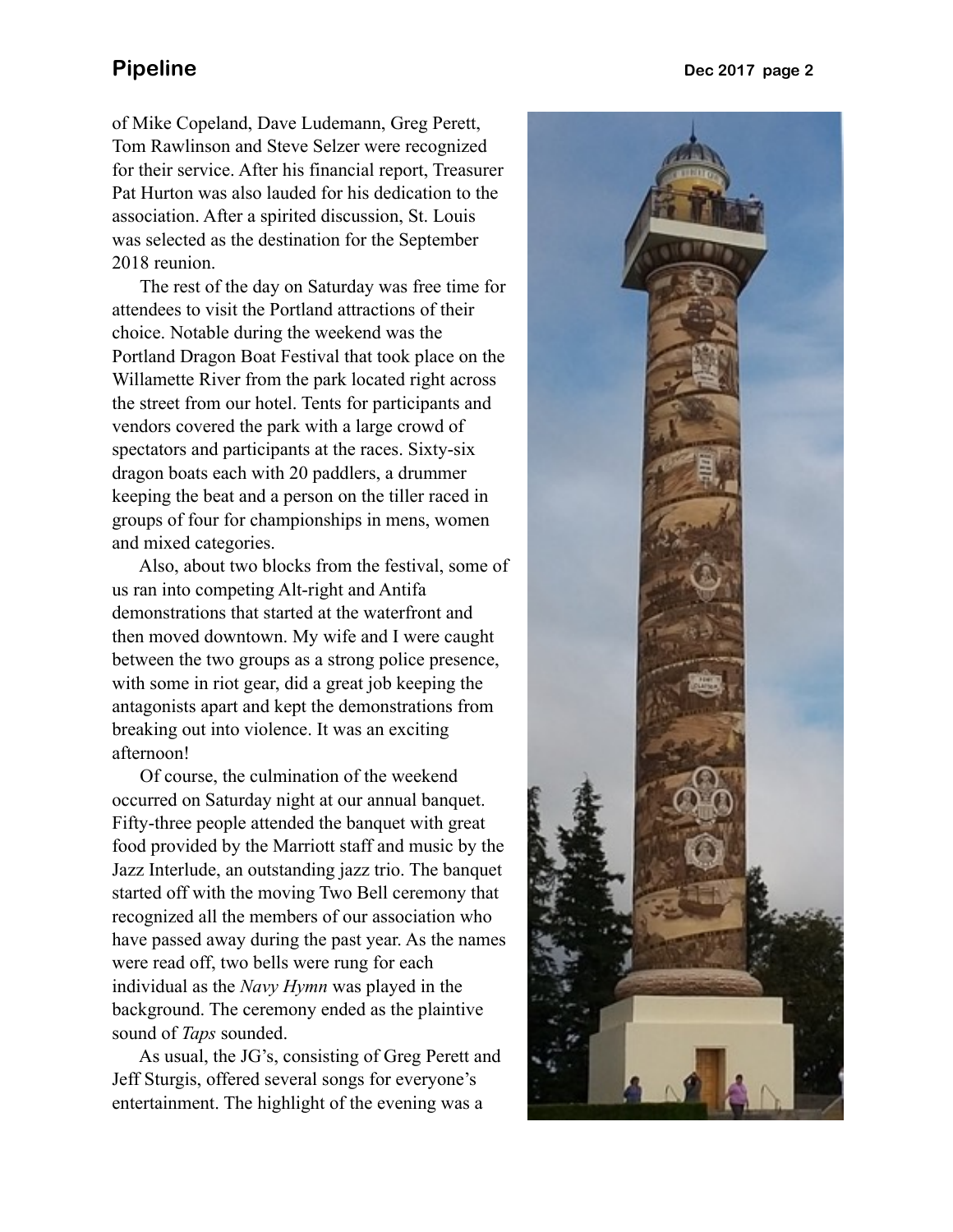of Mike Copeland, Dave Ludemann, Greg Perett, Tom Rawlinson and Steve Selzer were recognized for their service. After his financial report, Treasurer Pat Hurton was also lauded for his dedication to the association. After a spirited discussion, St. Louis was selected as the destination for the September 2018 reunion.

 The rest of the day on Saturday was free time for attendees to visit the Portland attractions of their choice. Notable during the weekend was the Portland Dragon Boat Festival that took place on the Willamette River from the park located right across the street from our hotel. Tents for participants and vendors covered the park with a large crowd of spectators and participants at the races. Sixty-six dragon boats each with 20 paddlers, a drummer keeping the beat and a person on the tiller raced in groups of four for championships in mens, women and mixed categories.

 Also, about two blocks from the festival, some of us ran into competing Alt-right and Antifa demonstrations that started at the waterfront and then moved downtown. My wife and I were caught between the two groups as a strong police presence, with some in riot gear, did a great job keeping the antagonists apart and kept the demonstrations from breaking out into violence. It was an exciting afternoon!

 Of course, the culmination of the weekend occurred on Saturday night at our annual banquet. Fifty-three people attended the banquet with great food provided by the Marriott staff and music by the Jazz Interlude, an outstanding jazz trio. The banquet started off with the moving Two Bell ceremony that recognized all the members of our association who have passed away during the past year. As the names were read off, two bells were rung for each individual as the *Navy Hymn* was played in the background. The ceremony ended as the plaintive sound of *Taps* sounded.

 As usual, the JG's, consisting of Greg Perett and Jeff Sturgis, offered several songs for everyone's entertainment. The highlight of the evening was a

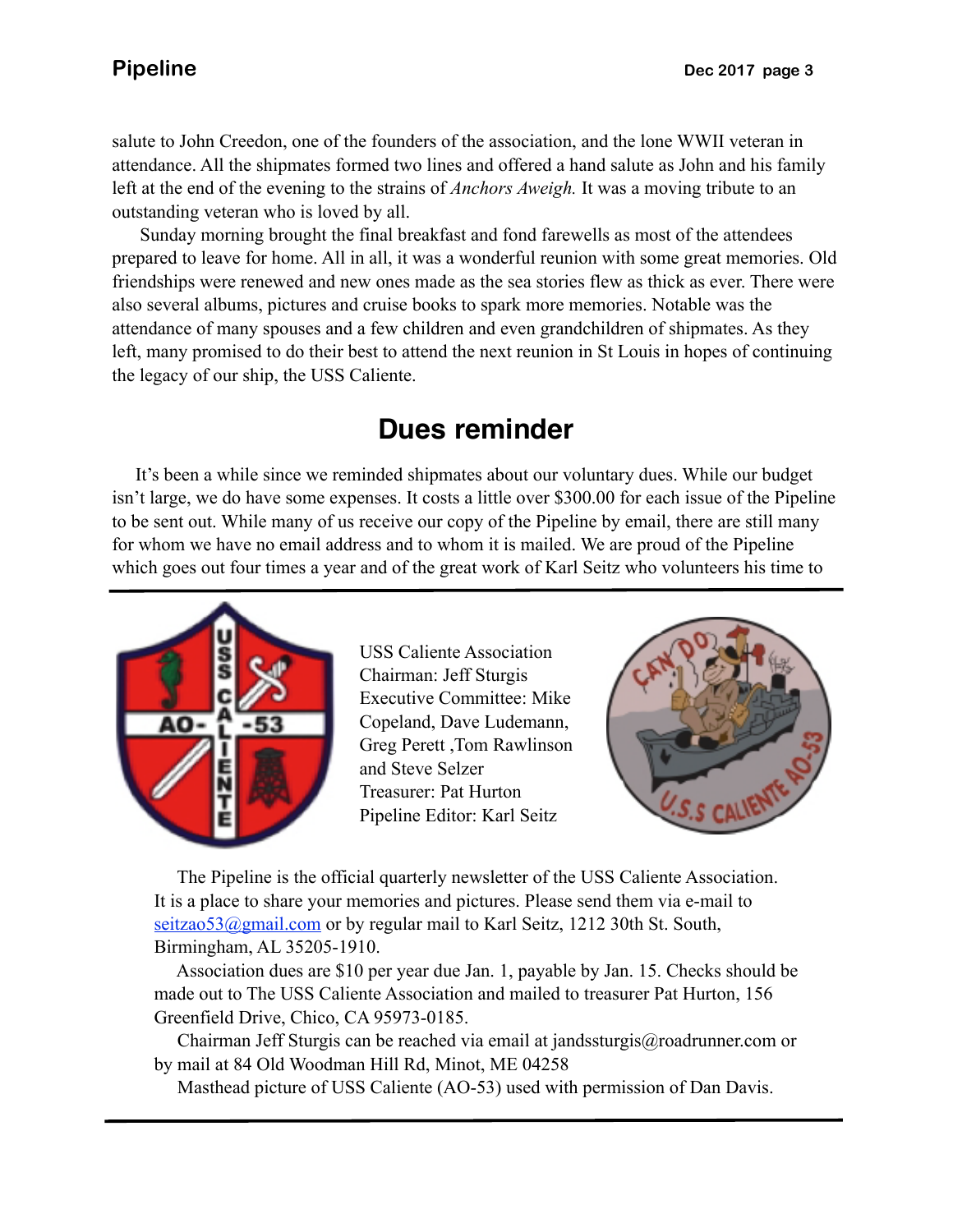salute to John Creedon, one of the founders of the association, and the lone WWII veteran in attendance. All the shipmates formed two lines and offered a hand salute as John and his family left at the end of the evening to the strains of *Anchors Aweigh.* It was a moving tribute to an outstanding veteran who is loved by all.

 friendships were renewed and new ones made as the sea stories flew as thick as ever. There were Sunday morning brought the final breakfast and fond farewells as most of the attendees prepared to leave for home. All in all, it was a wonderful reunion with some great memories. Old also several albums, pictures and cruise books to spark more memories. Notable was the attendance of many spouses and a few children and even grandchildren of shipmates. As they left, many promised to do their best to attend the next reunion in St Louis in hopes of continuing the legacy of our ship, the USS Caliente.

# **Dues reminder**

 It's been a while since we reminded shipmates about our voluntary dues. While our budget isn't large, we do have some expenses. It costs a little over \$300.00 for each issue of the Pipeline to be sent out. While many of us receive our copy of the Pipeline by email, there are still many for whom we have no email address and to whom it is mailed. We are proud of the Pipeline which goes out four times a year and of the great work of Karl Seitz who volunteers his time to



USS Caliente Association Chairman: Jeff Sturgis Executive Committee: Mike Copeland, Dave Ludemann, Greg Perett ,Tom Rawlinson and Steve Selzer Treasurer: Pat Hurton Pipeline Editor: Karl Seitz



 The Pipeline is the official quarterly newsletter of the USS Caliente Association. It is a place to share your memories and pictures. Please send them via e-mail to seitzao53@gmail.com or by regular mail to Karl Seitz, 1212 30th St. South, Birmingham, AL 35205-1910.

 Association dues are \$10 per year due Jan. 1, payable by Jan. 15. Checks should be made out to The USS Caliente Association and mailed to treasurer Pat Hurton, 156 Greenfield Drive, Chico, CA 95973-0185.

 Chairman Jeff Sturgis can be reached via email at jandssturgis@roadrunner.com or by mail at 84 Old Woodman Hill Rd, Minot, ME 04258

Masthead picture of USS Caliente (AO-53) used with permission of Dan Davis.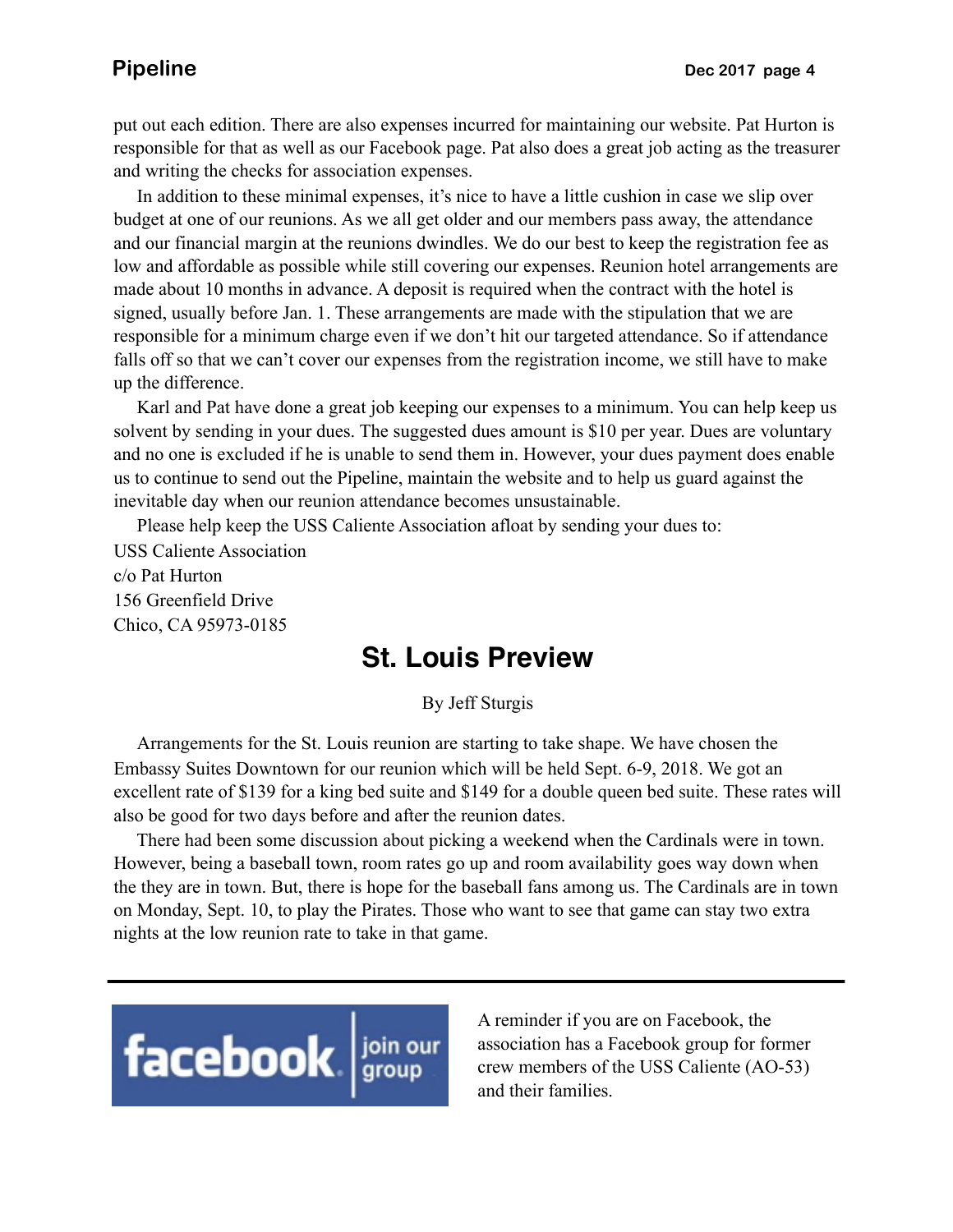put out each edition. There are also expenses incurred for maintaining our website. Pat Hurton is responsible for that as well as our Facebook page. Pat also does a great job acting as the treasurer and writing the checks for association expenses.

 In addition to these minimal expenses, it's nice to have a little cushion in case we slip over budget at one of our reunions. As we all get older and our members pass away, the attendance and our financial margin at the reunions dwindles. We do our best to keep the registration fee as low and affordable as possible while still covering our expenses. Reunion hotel arrangements are made about 10 months in advance. A deposit is required when the contract with the hotel is signed, usually before Jan. 1. These arrangements are made with the stipulation that we are responsible for a minimum charge even if we don't hit our targeted attendance. So if attendance falls off so that we can't cover our expenses from the registration income, we still have to make up the difference.

 Karl and Pat have done a great job keeping our expenses to a minimum. You can help keep us solvent by sending in your dues. The suggested dues amount is \$10 per year. Dues are voluntary and no one is excluded if he is unable to send them in. However, your dues payment does enable us to continue to send out the Pipeline, maintain the website and to help us guard against the inevitable day when our reunion attendance becomes unsustainable.

 Please help keep the USS Caliente Association afloat by sending your dues to: USS Caliente Association c/o Pat Hurton 156 Greenfield Drive Chico, CA 95973-0185

### **St. Louis Preview**

By Jeff Sturgis

 Arrangements for the St. Louis reunion are starting to take shape. We have chosen the Embassy Suites Downtown for our reunion which will be held Sept. 6-9, 2018. We got an excellent rate of \$139 for a king bed suite and \$149 for a double queen bed suite. These rates will also be good for two days before and after the reunion dates.

 There had been some discussion about picking a weekend when the Cardinals were in town. However, being a baseball town, room rates go up and room availability goes way down when the they are in town. But, there is hope for the baseball fans among us. The Cardinals are in town on Monday, Sept. 10, to play the Pirates. Those who want to see that game can stay two extra nights at the low reunion rate to take in that game.



A reminder if you are on Facebook, the association has a Facebook group for former crew members of the USS Caliente (AO-53) and their families.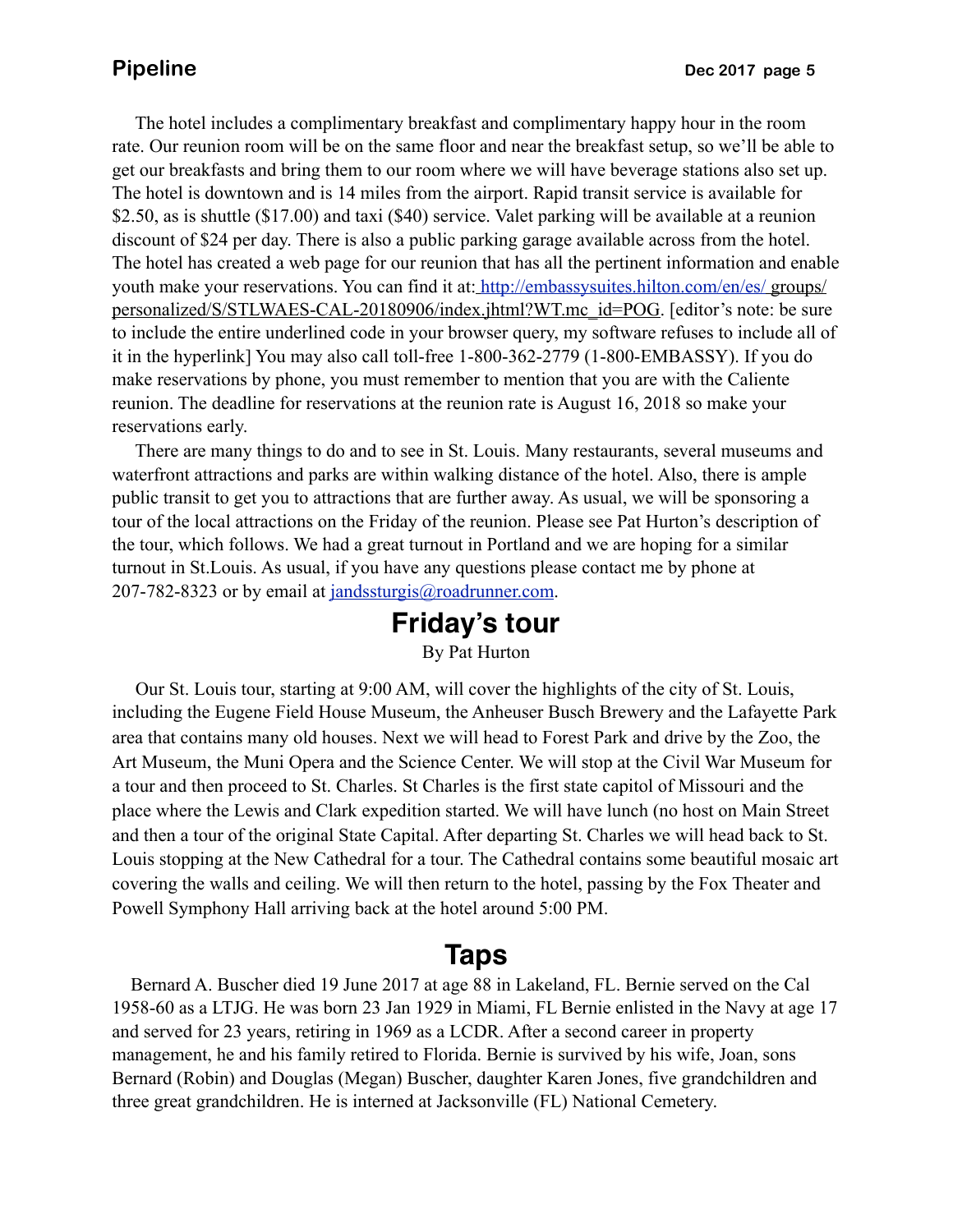The hotel includes a complimentary breakfast and complimentary happy hour in the room rate. Our reunion room will be on the same floor and near the breakfast setup, so we'll be able to get our breakfasts and bring them to our room where we will have beverage stations also set up. The hotel is downtown and is 14 miles from the airport. Rapid transit service is available for \$2.50, as is shuttle (\$17.00) and taxi (\$40) service. Valet parking will be available at a reunion discount of \$24 per day. There is also a public parking garage available across from the hotel. The hotel has created a web page for our reunion that has all the pertinent information and enable youth make your reservations. You can find it at: <http://embassysuites.hilton.com/en/es/>groups/ personalized/S/STLWAES-CAL-20180906/index.jhtml?WT.mc\_id=POG. [editor's note: be sure to include the entire underlined code in your browser query, my software refuses to include all of it in the hyperlink] You may also call toll-free 1-800-362-2779 (1-800-EMBASSY). If you do make reservations by phone, you must remember to mention that you are with the Caliente reunion. The deadline for reservations at the reunion rate is August 16, 2018 so make your reservations early.

 There are many things to do and to see in St. Louis. Many restaurants, several museums and waterfront attractions and parks are within walking distance of the hotel. Also, there is ample public transit to get you to attractions that are further away. As usual, we will be sponsoring a tour of the local attractions on the Friday of the reunion. Please see Pat Hurton's description of the tour, which follows. We had a great turnout in Portland and we are hoping for a similar turnout in St.Louis. As usual, if you have any questions please contact me by phone at 207-782-8323 or by email at [jandssturgis@roadrunner.com.](mailto:jandssturgis@roadrunner.com)

### **Friday's tour** By Pat Hurton

 Our St. Louis tour, starting at 9:00 AM, will cover the highlights of the city of St. Louis, including the Eugene Field House Museum, the Anheuser Busch Brewery and the Lafayette Park area that contains many old houses. Next we will head to Forest Park and drive by the Zoo, the Art Museum, the Muni Opera and the Science Center. We will stop at the Civil War Museum for a tour and then proceed to St. Charles. St Charles is the first state capitol of Missouri and the place where the Lewis and Clark expedition started. We will have lunch (no host on Main Street and then a tour of the original State Capital. After departing St. Charles we will head back to St. Louis stopping at the New Cathedral for a tour. The Cathedral contains some beautiful mosaic art covering the walls and ceiling. We will then return to the hotel, passing by the Fox Theater and Powell Symphony Hall arriving back at the hotel around 5:00 PM.

### **Taps**

 Bernard A. Buscher died 19 June 2017 at age 88 in Lakeland, FL. Bernie served on the Cal 1958-60 as a LTJG. He was born 23 Jan 1929 in Miami, FL Bernie enlisted in the Navy at age 17 and served for 23 years, retiring in 1969 as a LCDR. After a second career in property management, he and his family retired to Florida. Bernie is survived by his wife, Joan, sons Bernard (Robin) and Douglas (Megan) Buscher, daughter Karen Jones, five grandchildren and three great grandchildren. He is interned at Jacksonville (FL) National Cemetery.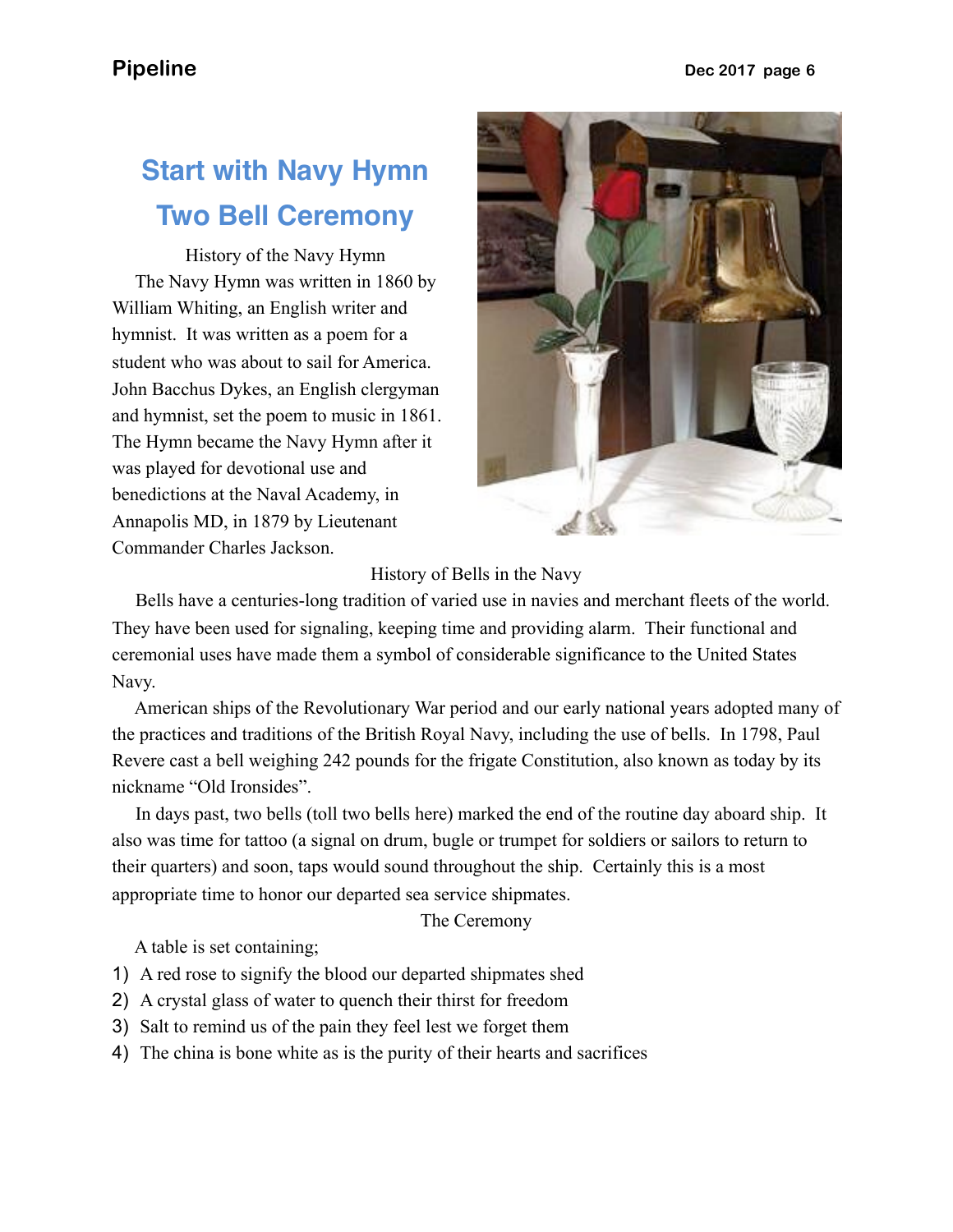# **Start with Navy Hymn Two Bell Ceremony**

History of the Navy Hymn The Navy Hymn was written in 1860 by William Whiting, an English writer and hymnist. It was written as a poem for a student who was about to sail for America. John Bacchus Dykes, an English clergyman and hymnist, set the poem to music in 1861. The Hymn became the Navy Hymn after it was played for devotional use and benedictions at the Naval Academy, in Annapolis MD, in 1879 by Lieutenant Commander Charles Jackson.



History of Bells in the Navy

 Bells have a centuries-long tradition of varied use in navies and merchant fleets of the world. They have been used for signaling, keeping time and providing alarm. Their functional and ceremonial uses have made them a symbol of considerable significance to the United States Navy.

 American ships of the Revolutionary War period and our early national years adopted many of the practices and traditions of the British Royal Navy, including the use of bells. In 1798, Paul Revere cast a bell weighing 242 pounds for the frigate Constitution, also known as today by its nickname "Old Ironsides".

 In days past, two bells (toll two bells here) marked the end of the routine day aboard ship. It also was time for tattoo (a signal on drum, bugle or trumpet for soldiers or sailors to return to their quarters) and soon, taps would sound throughout the ship. Certainly this is a most appropriate time to honor our departed sea service shipmates.

The Ceremony

A table is set containing;

- 1) A red rose to signify the blood our departed shipmates shed
- 2) A crystal glass of water to quench their thirst for freedom
- 3) Salt to remind us of the pain they feel lest we forget them
- 4) The china is bone white as is the purity of their hearts and sacrifices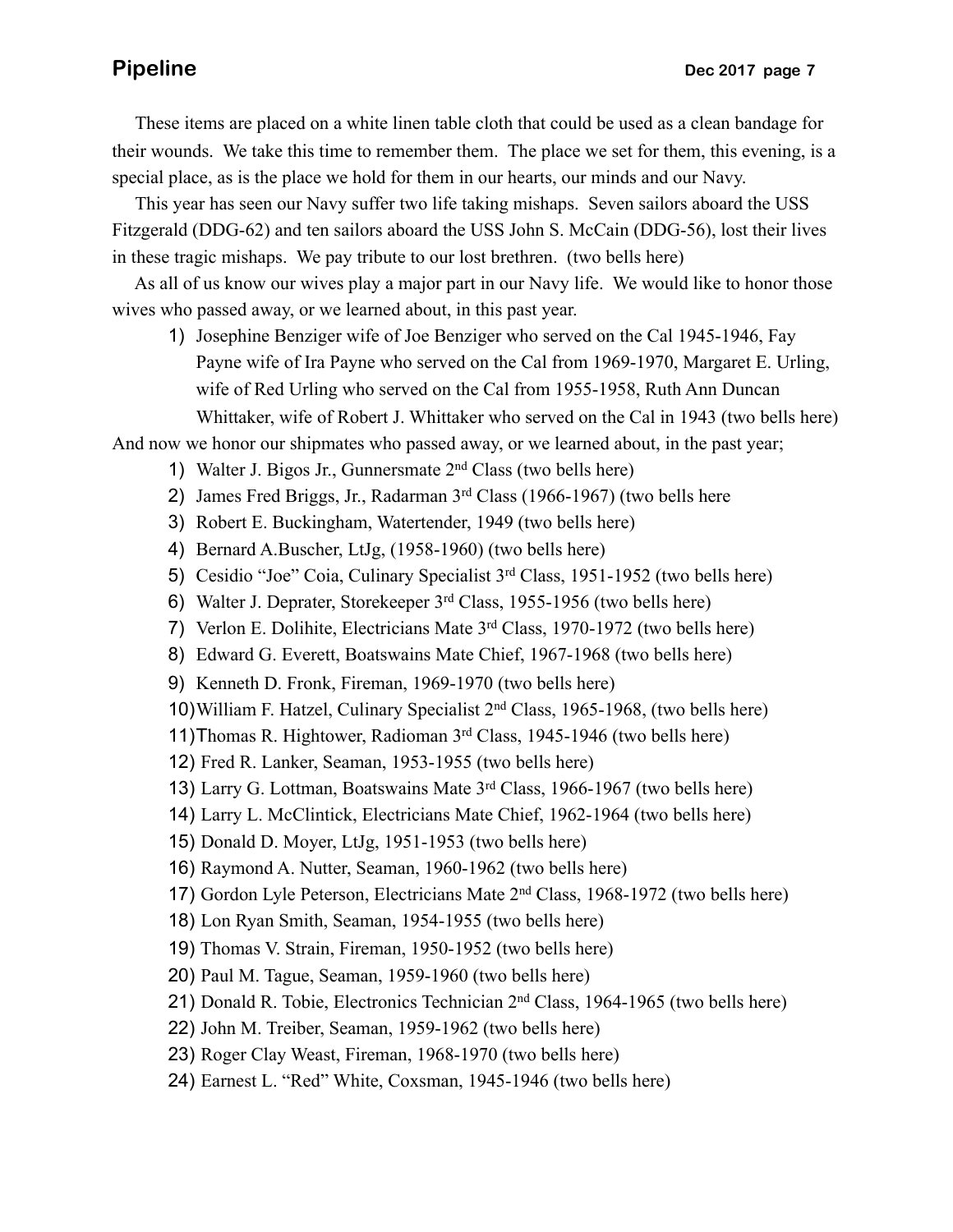These items are placed on a white linen table cloth that could be used as a clean bandage for their wounds. We take this time to remember them. The place we set for them, this evening, is a special place, as is the place we hold for them in our hearts, our minds and our Navy.

 This year has seen our Navy suffer two life taking mishaps. Seven sailors aboard the USS Fitzgerald (DDG-62) and ten sailors aboard the USS John S. McCain (DDG-56), lost their lives in these tragic mishaps. We pay tribute to our lost brethren. (two bells here)

 As all of us know our wives play a major part in our Navy life. We would like to honor those wives who passed away, or we learned about, in this past year.

1) Josephine Benziger wife of Joe Benziger who served on the Cal 1945-1946, Fay Payne wife of Ira Payne who served on the Cal from 1969-1970, Margaret E. Urling, wife of Red Urling who served on the Cal from 1955-1958, Ruth Ann Duncan Whittaker, wife of Robert J. Whittaker who served on the Cal in 1943 (two bells here)

And now we honor our shipmates who passed away, or we learned about, in the past year;

- 1) Walter J. Bigos Jr., Gunnersmate  $2<sup>nd</sup> Class (two balls here)$
- 2) James Fred Briggs, Jr., Radarman 3<sup>rd</sup> Class (1966-1967) (two bells here
- 3) Robert E. Buckingham, Watertender, 1949 (two bells here)
- 4) Bernard A.Buscher, LtJg, (1958-1960) (two bells here)
- 5) Cesidio "Joe" Coia, Culinary Specialist 3rd Class, 1951-1952 (two bells here)
- 6) Walter J. Deprater, Storekeeper 3rd Class, 1955-1956 (two bells here)
- 7) Verlon E. Dolihite, Electricians Mate 3rd Class, 1970-1972 (two bells here)
- 8) Edward G. Everett, Boatswains Mate Chief, 1967-1968 (two bells here)
- 9) Kenneth D. Fronk, Fireman, 1969-1970 (two bells here)
- 10)William F. Hatzel, Culinary Specialist 2nd Class, 1965-1968, (two bells here)
- 11)Thomas R. Hightower, Radioman 3rd Class, 1945-1946 (two bells here)
- 12) Fred R. Lanker, Seaman, 1953-1955 (two bells here)
- 13) Larry G. Lottman, Boatswains Mate 3rd Class, 1966-1967 (two bells here)
- 14) Larry L. McClintick, Electricians Mate Chief, 1962-1964 (two bells here)
- 15) Donald D. Moyer, LtJg, 1951-1953 (two bells here)
- 16) Raymond A. Nutter, Seaman, 1960-1962 (two bells here)
- 17) Gordon Lyle Peterson, Electricians Mate 2nd Class, 1968-1972 (two bells here)
- 18) Lon Ryan Smith, Seaman, 1954-1955 (two bells here)
- 19) Thomas V. Strain, Fireman, 1950-1952 (two bells here)
- 20) Paul M. Tague, Seaman, 1959-1960 (two bells here)
- 21) Donald R. Tobie, Electronics Technician 2nd Class, 1964-1965 (two bells here)
- 22) John M. Treiber, Seaman, 1959-1962 (two bells here)
- 23) Roger Clay Weast, Fireman, 1968-1970 (two bells here)
- 24) Earnest L. "Red" White, Coxsman, 1945-1946 (two bells here)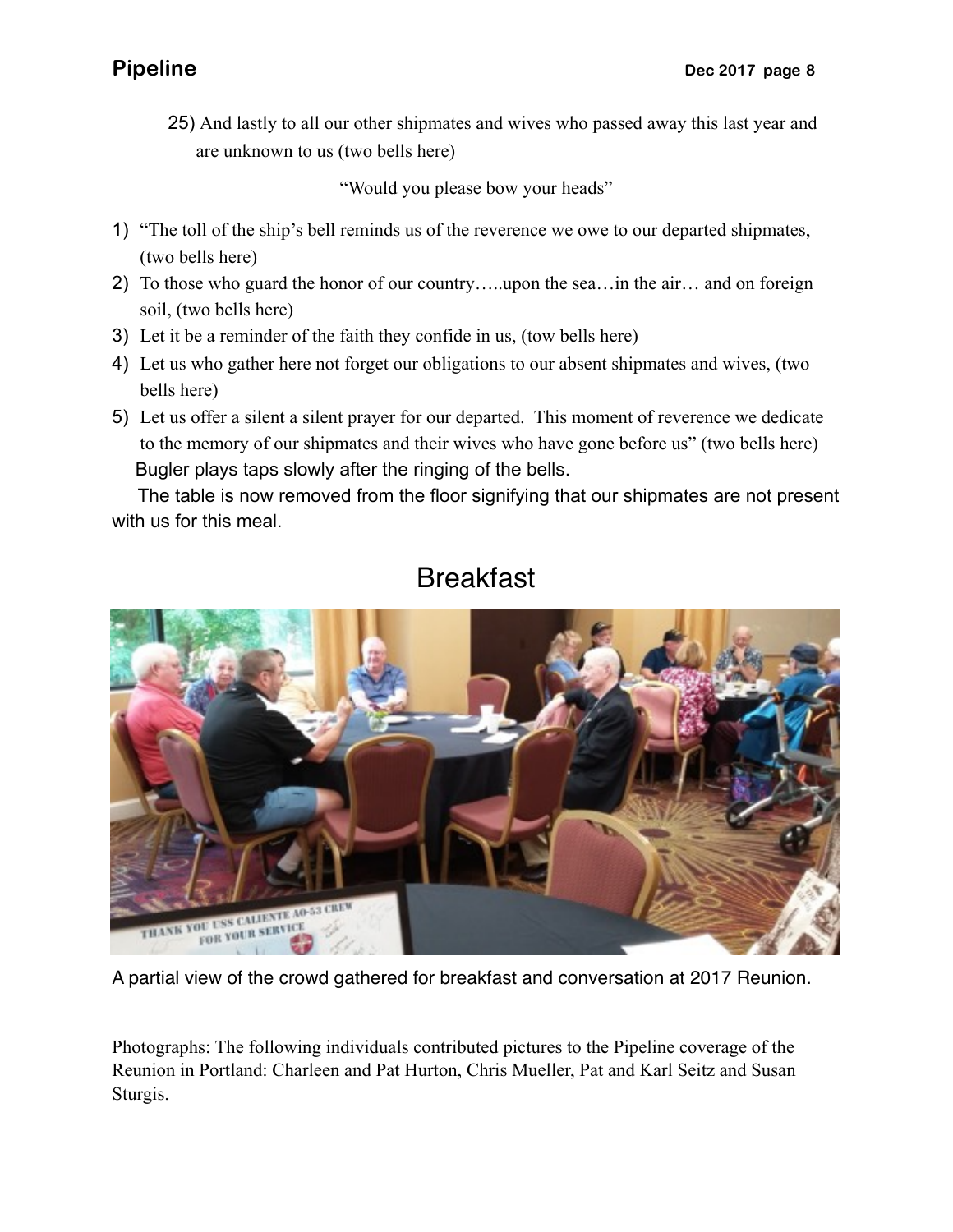25) And lastly to all our other shipmates and wives who passed away this last year and are unknown to us (two bells here)

"Would you please bow your heads"

- 1) "The toll of the ship's bell reminds us of the reverence we owe to our departed shipmates, (two bells here)
- 2) To those who guard the honor of our country…..upon the sea…in the air… and on foreign soil, (two bells here)
- 3) Let it be a reminder of the faith they confide in us, (tow bells here)
- 4) Let us who gather here not forget our obligations to our absent shipmates and wives, (two bells here)
- 5) Let us offer a silent a silent prayer for our departed. This moment of reverence we dedicate to the memory of our shipmates and their wives who have gone before us" (two bells here) Bugler plays taps slowly after the ringing of the bells.

 The table is now removed from the floor signifying that our shipmates are not present with us for this meal.



# Breakfast

A partial view of the crowd gathered for breakfast and conversation at 2017 Reunion.

Photographs: The following individuals contributed pictures to the Pipeline coverage of the Reunion in Portland: Charleen and Pat Hurton, Chris Mueller, Pat and Karl Seitz and Susan Sturgis.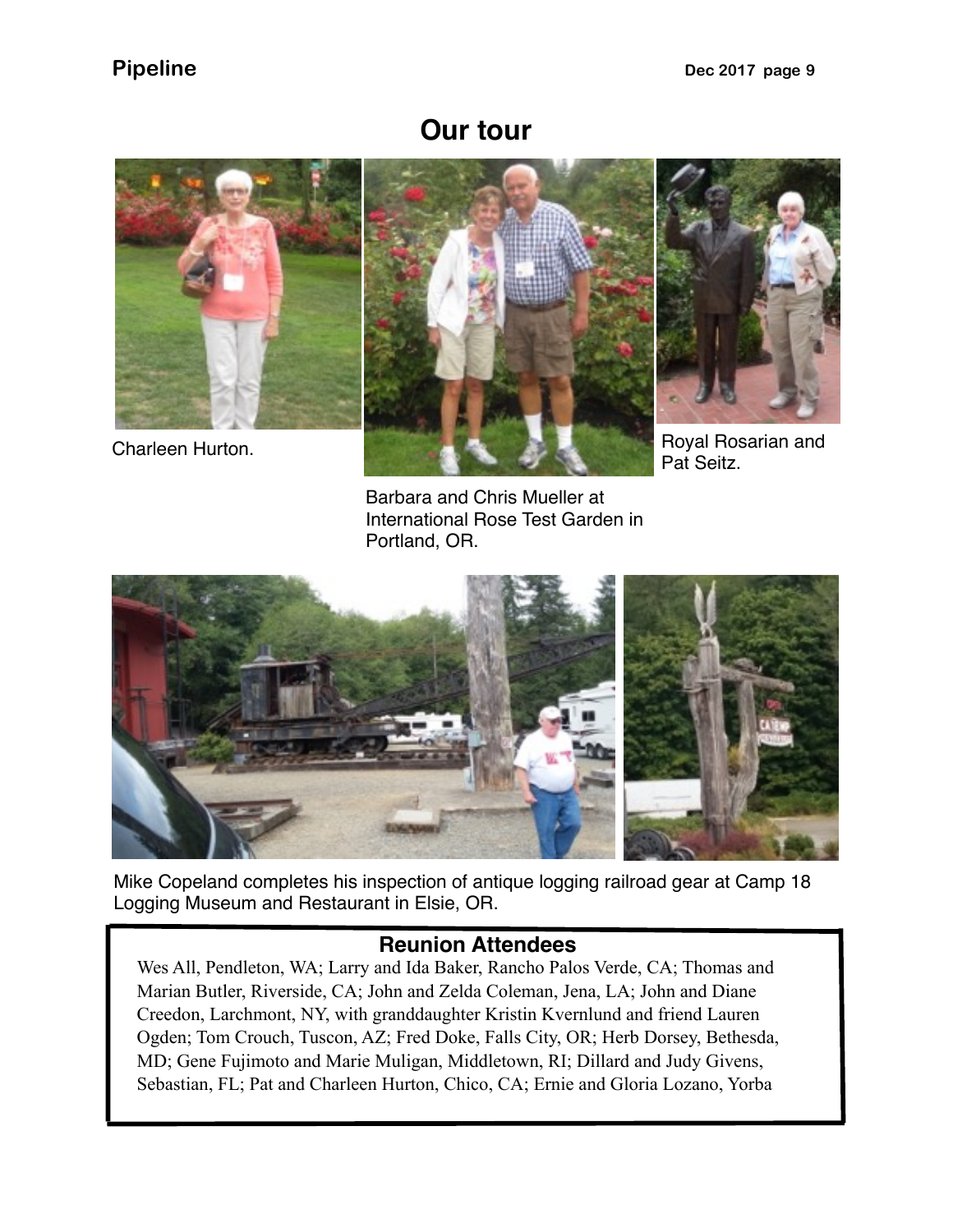## **Our tour**







Pat Seitz.

Barbara and Chris Mueller at International Rose Test Garden in Portland, OR.



Mike Copeland completes his inspection of antique logging railroad gear at Camp 18 Logging Museum and Restaurant in Elsie, OR.

### **Reunion Attendees**

Wes All, Pendleton, WA; Larry and Ida Baker, Rancho Palos Verde, CA; Thomas and Marian Butler, Riverside, CA; John and Zelda Coleman, Jena, LA; John and Diane Creedon, Larchmont, NY, with granddaughter Kristin Kvernlund and friend Lauren Ogden; Tom Crouch, Tuscon, AZ; Fred Doke, Falls City, OR; Herb Dorsey, Bethesda, MD; Gene Fujimoto and Marie Muligan, Middletown, RI; Dillard and Judy Givens, Sebastian, FL; Pat and Charleen Hurton, Chico, CA; Ernie and Gloria Lozano, Yorba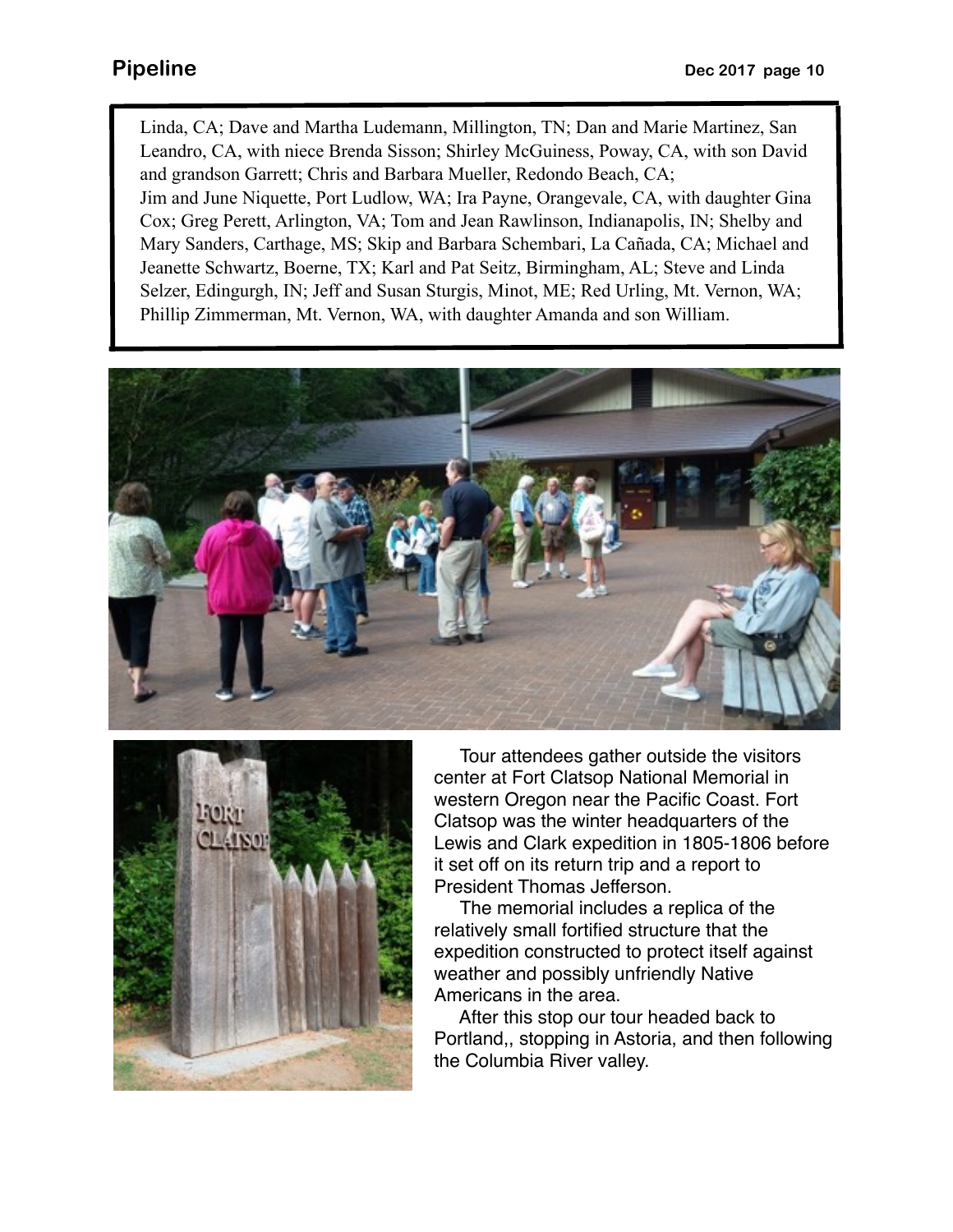Linda, CA; Dave and Martha Ludemann, Millington, TN; Dan and Marie Martinez, San Leandro, CA, with niece Brenda Sisson; Shirley McGuiness, Poway, CA, with son David and grandson Garrett; Chris and Barbara Mueller, Redondo Beach, CA; Jim and June Niquette, Port Ludlow, WA; Ira Payne, Orangevale, CA, with daughter Gina Cox; Greg Perett, Arlington, VA; Tom and Jean Rawlinson, Indianapolis, IN; Shelby and Mary Sanders, Carthage, MS; Skip and Barbara Schembari, La Cañada, CA; Michael and Jeanette Schwartz, Boerne, TX; Karl and Pat Seitz, Birmingham, AL; Steve and Linda Selzer, Edingurgh, IN; Jeff and Susan Sturgis, Minot, ME; Red Urling, Mt. Vernon, WA; Phillip Zimmerman, Mt. Vernon, WA, with daughter Amanda and son William.





 Tour attendees gather outside the visitors center at Fort Clatsop National Memorial in western Oregon near the Pacific Coast. Fort Clatsop was the winter headquarters of the Lewis and Clark expedition in 1805-1806 before it set off on its return trip and a report to President Thomas Jefferson.

 The memorial includes a replica of the relatively small fortified structure that the expedition constructed to protect itself against weather and possibly unfriendly Native Americans in the area.

 After this stop our tour headed back to Portland,, stopping in Astoria, and then following the Columbia River valley.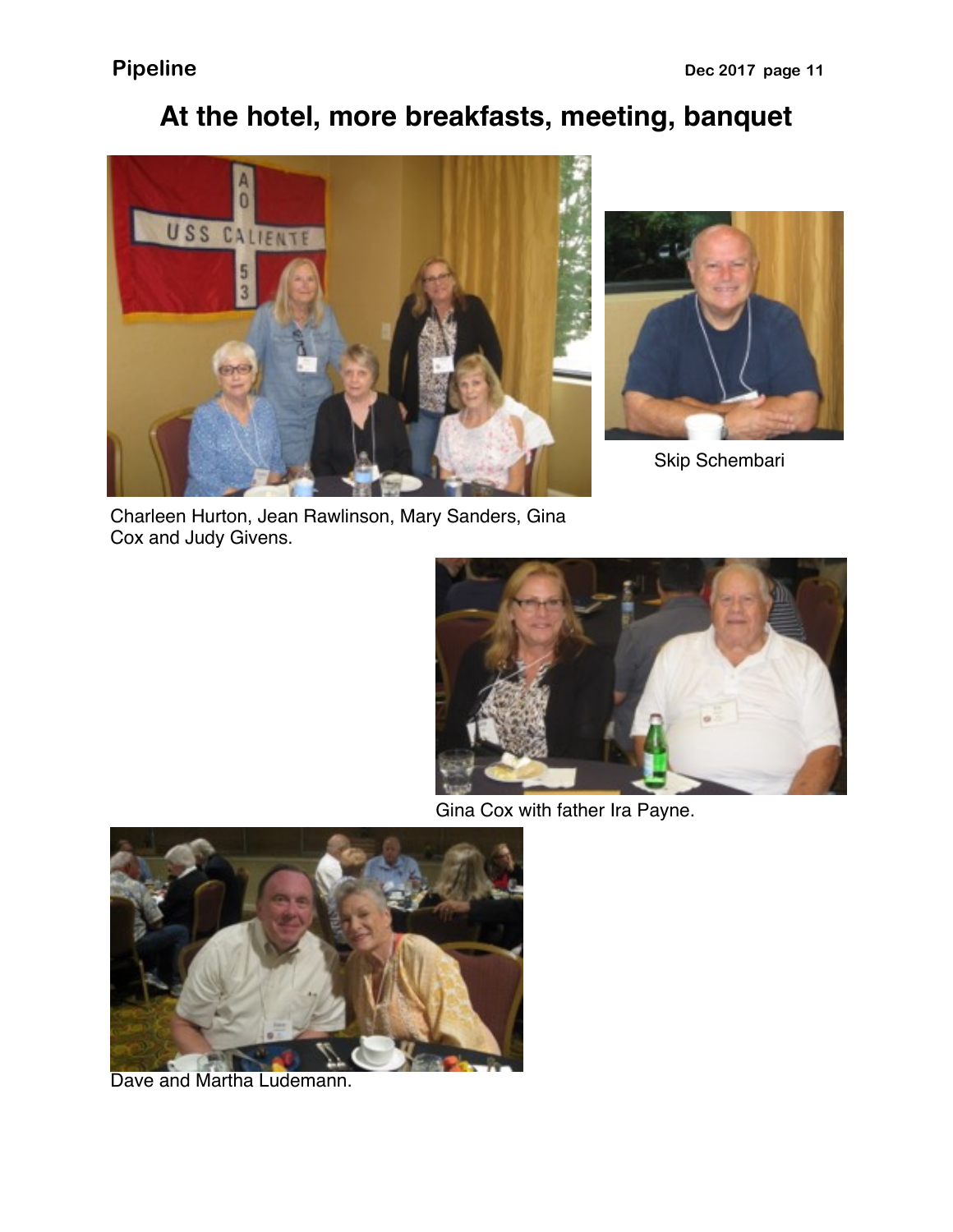# **At the hotel, more breakfasts, meeting, banquet**





Skip Schembari

Charleen Hurton, Jean Rawlinson, Mary Sanders, Gina Cox and Judy Givens.



Gina Cox with father Ira Payne.



Dave and Martha Ludemann.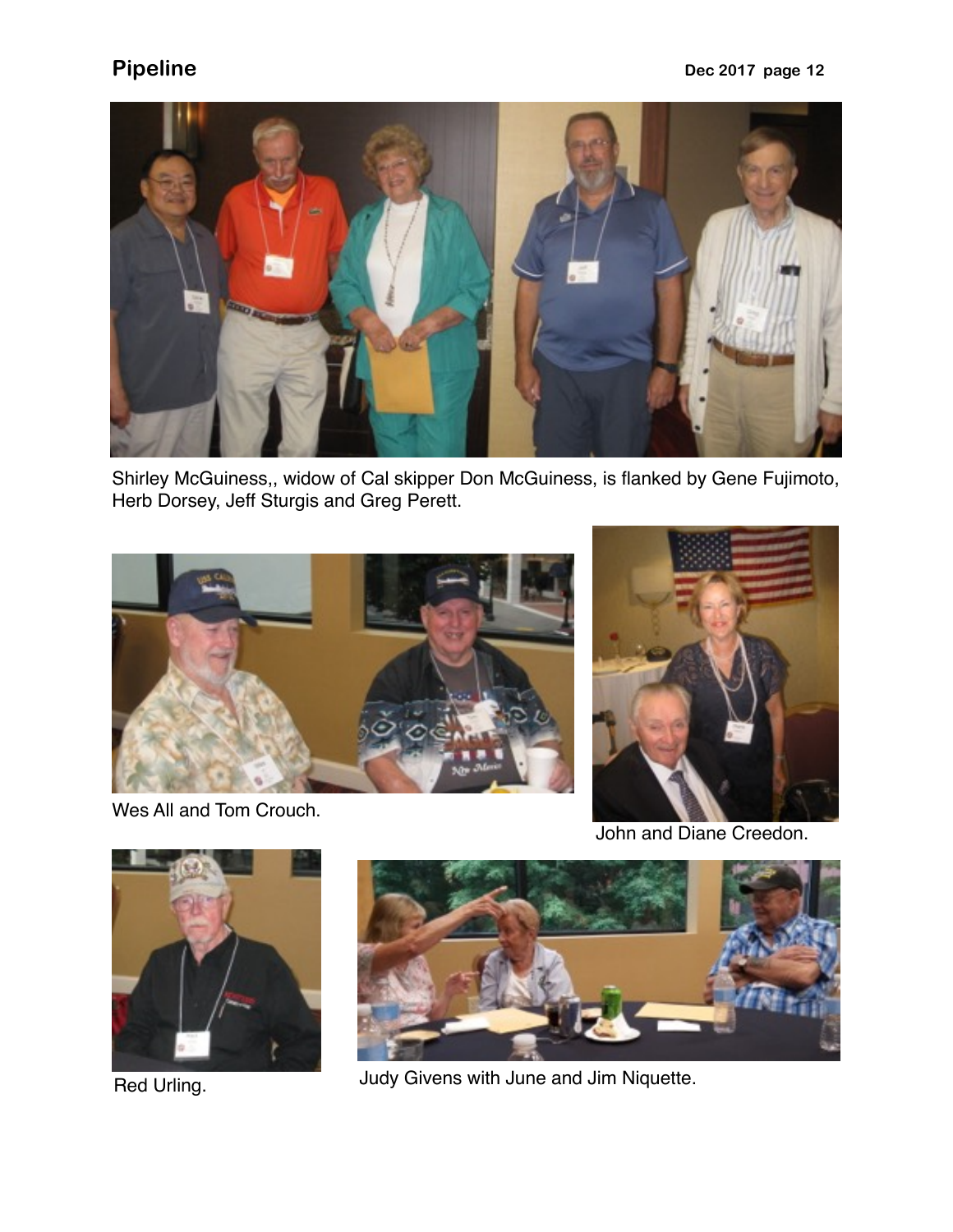

Shirley McGuiness,, widow of Cal skipper Don McGuiness, is flanked by Gene Fujimoto, Herb Dorsey, Jeff Sturgis and Greg Perett.



Wes All and Tom Crouch.



John and Diane Creedon.





Red Urling. **All Accords** Figure 1. Judy Givens with June and Jim Niquette.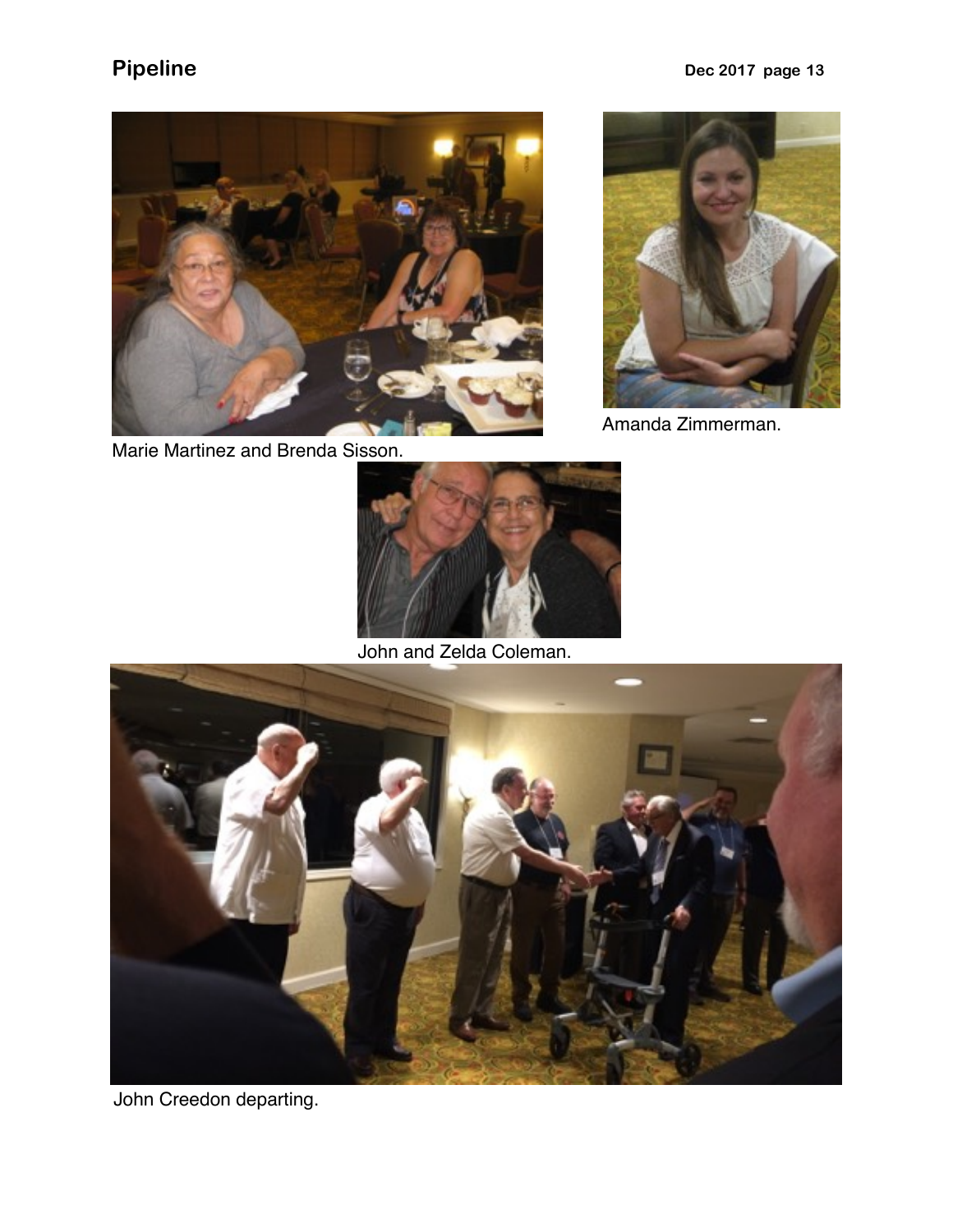



Amanda Zimmerman.

Marie Martinez and Brenda Sisson.



John and Zelda Coleman.



John Creedon departing.